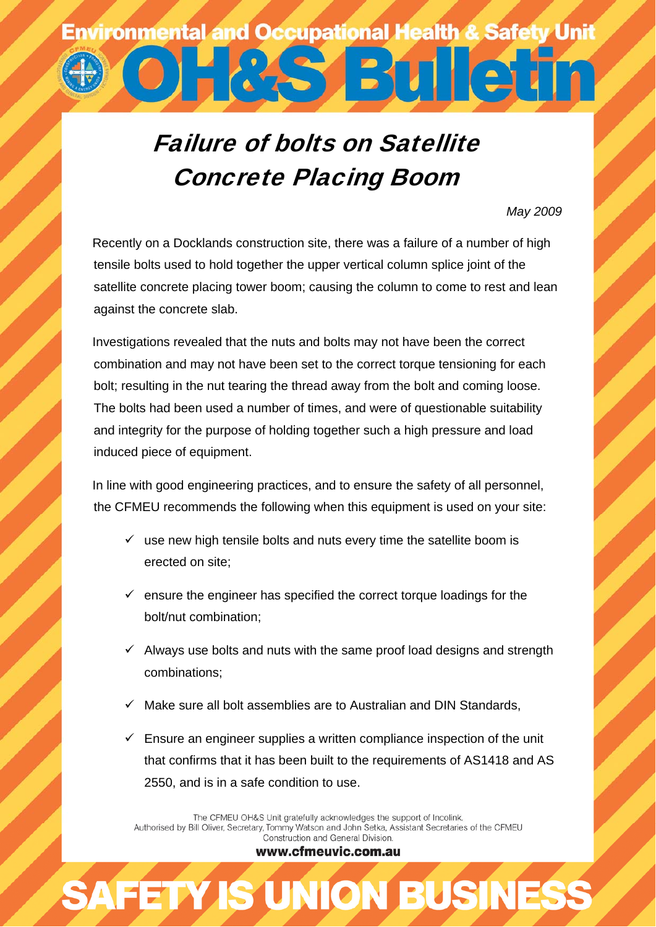## **Environmental and Occupational Health & Safety Unit** 7 3 1 1 2

## Failure of bolts on Satellite Concrete Placing Boom

*May 2009* 

Recently on a Docklands construction site, there was a failure of a number of high tensile bolts used to hold together the upper vertical column splice joint of the satellite concrete placing tower boom; causing the column to come to rest and lean against the concrete slab.

Investigations revealed that the nuts and bolts may not have been the correct combination and may not have been set to the correct torque tensioning for each bolt; resulting in the nut tearing the thread away from the bolt and coming loose. The bolts had been used a number of times, and were of questionable suitability and integrity for the purpose of holding together such a high pressure and load induced piece of equipment.

In line with good engineering practices, and to ensure the safety of all personnel, the CFMEU recommends the following when this equipment is used on your site:

- $\checkmark$  use new high tensile bolts and nuts every time the satellite boom is erected on site;
- $\checkmark$  ensure the engineer has specified the correct torque loadings for the bolt/nut combination;
- $\checkmark$  Always use bolts and nuts with the same proof load designs and strength combinations;
- $\checkmark$  Make sure all bolt assemblies are to Australian and DIN Standards,
- $\checkmark$  Ensure an engineer supplies a written compliance inspection of the unit that confirms that it has been built to the requirements of AS1418 and AS 2550, and is in a safe condition to use.

The CFMEU OH&S Unit gratefully acknowledges the support of Incolink.<br>Authorised by Bill Oliver, Secretary, Tommy Watson and John Setka, Assistant Secretaries of the CFMEU Construction and General Division.

www.cfmeuvic.com.au

**AFETY IS UNION BUSINES**